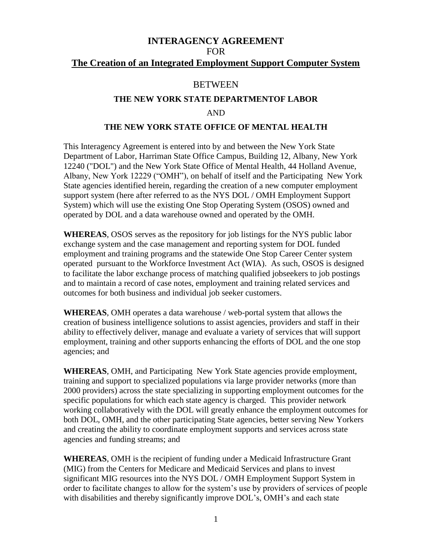# **INTERAGENCY AGREEMENT**  FOR **The Creation of an Integrated Employment Support Computer System**

## **BETWEEN**

### **THE NEW YORK STATE DEPARTMENTOF LABOR**

## AND

### **THE NEW YORK STATE OFFICE OF MENTAL HEALTH**

This Interagency Agreement is entered into by and between the New York State Department of Labor, Harriman State Office Campus, Building 12, Albany, New York 12240 ("DOL") and the New York State Office of Mental Health, 44 Holland Avenue, Albany, New York 12229 ("OMH"), on behalf of itself and the Participating New York State agencies identified herein, regarding the creation of a new computer employment support system (here after referred to as the NYS DOL / OMH Employment Support System) which will use the existing One Stop Operating System (OSOS) owned and operated by DOL and a data warehouse owned and operated by the OMH.

**WHEREAS**, OSOS serves as the repository for job listings for the NYS public labor exchange system and the case management and reporting system for DOL funded employment and training programs and the statewide One Stop Career Center system operated pursuant to the Workforce Investment Act (WIA). As such, OSOS is designed to facilitate the labor exchange process of matching qualified jobseekers to job postings and to maintain a record of case notes, employment and training related services and outcomes for both business and individual job seeker customers.

**WHEREAS**, OMH operates a data warehouse / web-portal system that allows the creation of business intelligence solutions to assist agencies, providers and staff in their ability to effectively deliver, manage and evaluate a variety of services that will support employment, training and other supports enhancing the efforts of DOL and the one stop agencies; and

**WHEREAS**, OMH, and Participating New York State agencies provide employment, training and support to specialized populations via large provider networks (more than 2000 providers) across the state specializing in supporting employment outcomes for the specific populations for which each state agency is charged. This provider network working collaboratively with the DOL will greatly enhance the employment outcomes for both DOL, OMH, and the other participating State agencies, better serving New Yorkers and creating the ability to coordinate employment supports and services across state agencies and funding streams; and

**WHEREAS**, OMH is the recipient of funding under a Medicaid Infrastructure Grant (MIG) from the Centers for Medicare and Medicaid Services and plans to invest significant MIG resources into the NYS DOL / OMH Employment Support System in order to facilitate changes to allow for the system's use by providers of services of people with disabilities and thereby significantly improve DOL's, OMH's and each state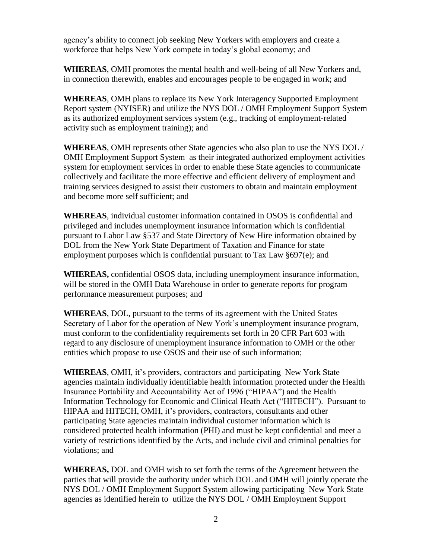agency's ability to connect job seeking New Yorkers with employers and create a workforce that helps New York compete in today's global economy; and

**WHEREAS**, OMH promotes the mental health and well-being of all New Yorkers and, in connection therewith, enables and encourages people to be engaged in work; and

**WHEREAS**, OMH plans to replace its New York Interagency Supported Employment Report system (NYISER) and utilize the NYS DOL / OMH Employment Support System as its authorized employment services system (e.g., tracking of employment-related activity such as employment training); and

**WHEREAS**, OMH represents other State agencies who also plan to use the NYS DOL / OMH Employment Support System as their integrated authorized employment activities system for employment services in order to enable these State agencies to communicate collectively and facilitate the more effective and efficient delivery of employment and training services designed to assist their customers to obtain and maintain employment and become more self sufficient; and

**WHEREAS**, individual customer information contained in OSOS is confidential and privileged and includes unemployment insurance information which is confidential pursuant to Labor Law §537 and State Directory of New Hire information obtained by DOL from the New York State Department of Taxation and Finance for state employment purposes which is confidential pursuant to Tax Law  $§697(e)$ ; and

**WHEREAS,** confidential OSOS data, including unemployment insurance information, will be stored in the OMH Data Warehouse in order to generate reports for program performance measurement purposes; and

**WHEREAS**, DOL, pursuant to the terms of its agreement with the United States Secretary of Labor for the operation of New York's unemployment insurance program, must conform to the confidentiality requirements set forth in 20 CFR Part 603 with regard to any disclosure of unemployment insurance information to OMH or the other entities which propose to use OSOS and their use of such information;

**WHEREAS**, OMH, it's providers, contractors and participating New York State agencies maintain individually identifiable health information protected under the Health Insurance Portability and Accountability Act of 1996 ("HIPAA") and the Health Information Technology for Economic and Clinical Heath Act ("HITECH"). Pursuant to HIPAA and HITECH, OMH, it's providers, contractors, consultants and other participating State agencies maintain individual customer information which is considered protected health information (PHI) and must be kept confidential and meet a variety of restrictions identified by the Acts, and include civil and criminal penalties for violations; and

**WHEREAS,** DOL and OMH wish to set forth the terms of the Agreement between the parties that will provide the authority under which DOL and OMH will jointly operate the NYS DOL / OMH Employment Support System allowing participating New York State agencies as identified herein to utilize the NYS DOL / OMH Employment Support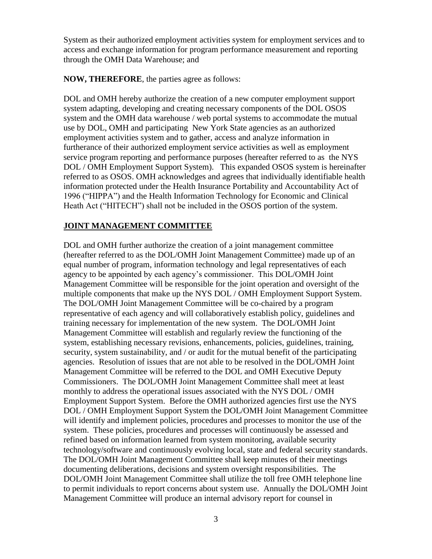System as their authorized employment activities system for employment services and to access and exchange information for program performance measurement and reporting through the OMH Data Warehouse; and

**NOW, THEREFORE**, the parties agree as follows:

DOL and OMH hereby authorize the creation of a new computer employment support system adapting, developing and creating necessary components of the DOL OSOS system and the OMH data warehouse / web portal systems to accommodate the mutual use by DOL, OMH and participating New York State agencies as an authorized employment activities system and to gather, access and analyze information in furtherance of their authorized employment service activities as well as employment service program reporting and performance purposes (hereafter referred to as the NYS DOL / OMH Employment Support System). This expanded OSOS system is hereinafter referred to as OSOS. OMH acknowledges and agrees that individually identifiable health information protected under the Health Insurance Portability and Accountability Act of 1996 ("HIPPA") and the Health Information Technology for Economic and Clinical Heath Act ("HITECH") shall not be included in the OSOS portion of the system.

## **JOINT MANAGEMENT COMMITTEE**

DOL and OMH further authorize the creation of a joint management committee (hereafter referred to as the DOL/OMH Joint Management Committee) made up of an equal number of program, information technology and legal representatives of each agency to be appointed by each agency's commissioner. This DOL/OMH Joint Management Committee will be responsible for the joint operation and oversight of the multiple components that make up the NYS DOL / OMH Employment Support System. The DOL/OMH Joint Management Committee will be co-chaired by a program representative of each agency and will collaboratively establish policy, guidelines and training necessary for implementation of the new system. The DOL/OMH Joint Management Committee will establish and regularly review the functioning of the system, establishing necessary revisions, enhancements, policies, guidelines, training, security, system sustainability, and / or audit for the mutual benefit of the participating agencies. Resolution of issues that are not able to be resolved in the DOL/OMH Joint Management Committee will be referred to the DOL and OMH Executive Deputy Commissioners. The DOL/OMH Joint Management Committee shall meet at least monthly to address the operational issues associated with the NYS DOL / OMH Employment Support System. Before the OMH authorized agencies first use the NYS DOL / OMH Employment Support System the DOL/OMH Joint Management Committee will identify and implement policies, procedures and processes to monitor the use of the system. These policies, procedures and processes will continuously be assessed and refined based on information learned from system monitoring, available security technology/software and continuously evolving local, state and federal security standards. The DOL/OMH Joint Management Committee shall keep minutes of their meetings documenting deliberations, decisions and system oversight responsibilities. The DOL/OMH Joint Management Committee shall utilize the toll free OMH telephone line to permit individuals to report concerns about system use. Annually the DOL/OMH Joint Management Committee will produce an internal advisory report for counsel in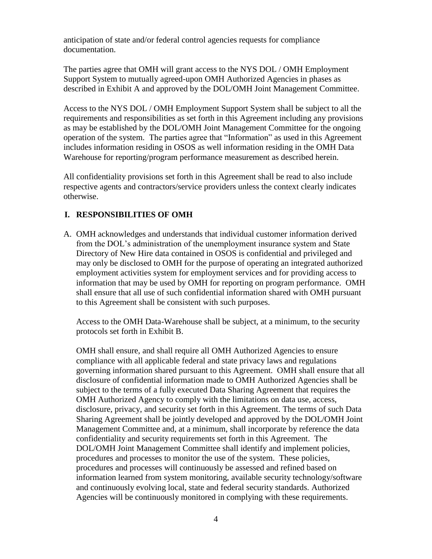anticipation of state and/or federal control agencies requests for compliance documentation.

The parties agree that OMH will grant access to the NYS DOL / OMH Employment Support System to mutually agreed-upon OMH Authorized Agencies in phases as described in Exhibit A and approved by the DOL/OMH Joint Management Committee.

Access to the NYS DOL / OMH Employment Support System shall be subject to all the requirements and responsibilities as set forth in this Agreement including any provisions as may be established by the DOL/OMH Joint Management Committee for the ongoing operation of the system. The parties agree that "Information" as used in this Agreement includes information residing in OSOS as well information residing in the OMH Data Warehouse for reporting/program performance measurement as described herein.

All confidentiality provisions set forth in this Agreement shall be read to also include respective agents and contractors/service providers unless the context clearly indicates otherwise.

# **I. RESPONSIBILITIES OF OMH**

A. OMH acknowledges and understands that individual customer information derived from the DOL's administration of the unemployment insurance system and State Directory of New Hire data contained in OSOS is confidential and privileged and may only be disclosed to OMH for the purpose of operating an integrated authorized employment activities system for employment services and for providing access to information that may be used by OMH for reporting on program performance. OMH shall ensure that all use of such confidential information shared with OMH pursuant to this Agreement shall be consistent with such purposes.

Access to the OMH Data-Warehouse shall be subject, at a minimum, to the security protocols set forth in Exhibit B.

OMH shall ensure, and shall require all OMH Authorized Agencies to ensure compliance with all applicable federal and state privacy laws and regulations governing information shared pursuant to this Agreement. OMH shall ensure that all disclosure of confidential information made to OMH Authorized Agencies shall be subject to the terms of a fully executed Data Sharing Agreement that requires the OMH Authorized Agency to comply with the limitations on data use, access, disclosure, privacy, and security set forth in this Agreement. The terms of such Data Sharing Agreement shall be jointly developed and approved by the DOL/OMH Joint Management Committee and, at a minimum, shall incorporate by reference the data confidentiality and security requirements set forth in this Agreement. The DOL/OMH Joint Management Committee shall identify and implement policies, procedures and processes to monitor the use of the system. These policies, procedures and processes will continuously be assessed and refined based on information learned from system monitoring, available security technology/software and continuously evolving local, state and federal security standards. Authorized Agencies will be continuously monitored in complying with these requirements.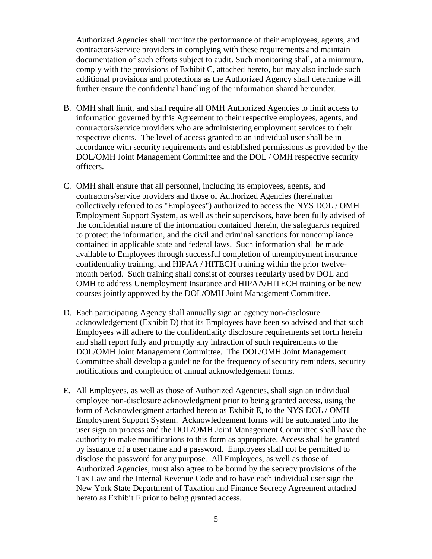Authorized Agencies shall monitor the performance of their employees, agents, and contractors/service providers in complying with these requirements and maintain documentation of such efforts subject to audit. Such monitoring shall, at a minimum, comply with the provisions of Exhibit C, attached hereto, but may also include such additional provisions and protections as the Authorized Agency shall determine will further ensure the confidential handling of the information shared hereunder.

- B. OMH shall limit, and shall require all OMH Authorized Agencies to limit access to information governed by this Agreement to their respective employees, agents, and contractors/service providers who are administering employment services to their respective clients. The level of access granted to an individual user shall be in accordance with security requirements and established permissions as provided by the DOL/OMH Joint Management Committee and the DOL / OMH respective security officers.
- C. OMH shall ensure that all personnel, including its employees, agents, and contractors/service providers and those of Authorized Agencies (hereinafter collectively referred to as "Employees") authorized to access the NYS DOL / OMH Employment Support System, as well as their supervisors, have been fully advised of the confidential nature of the information contained therein, the safeguards required to protect the information, and the civil and criminal sanctions for noncompliance contained in applicable state and federal laws. Such information shall be made available to Employees through successful completion of unemployment insurance confidentiality training, and HIPAA / HITECH training within the prior twelvemonth period. Such training shall consist of courses regularly used by DOL and OMH to address Unemployment Insurance and HIPAA/HITECH training or be new courses jointly approved by the DOL/OMH Joint Management Committee.
- D. Each participating Agency shall annually sign an agency non-disclosure acknowledgement (Exhibit D) that its Employees have been so advised and that such Employees will adhere to the confidentiality disclosure requirements set forth herein and shall report fully and promptly any infraction of such requirements to the DOL/OMH Joint Management Committee. The DOL/OMH Joint Management Committee shall develop a guideline for the frequency of security reminders, security notifications and completion of annual acknowledgement forms.
- E. All Employees, as well as those of Authorized Agencies, shall sign an individual employee non-disclosure acknowledgment prior to being granted access, using the form of Acknowledgment attached hereto as Exhibit E, to the NYS DOL / OMH Employment Support System. Acknowledgement forms will be automated into the user sign on process and the DOL/OMH Joint Management Committee shall have the authority to make modifications to this form as appropriate. Access shall be granted by issuance of a user name and a password. Employees shall not be permitted to disclose the password for any purpose. All Employees, as well as those of Authorized Agencies, must also agree to be bound by the secrecy provisions of the Tax Law and the Internal Revenue Code and to have each individual user sign the New York State Department of Taxation and Finance Secrecy Agreement attached hereto as Exhibit F prior to being granted access.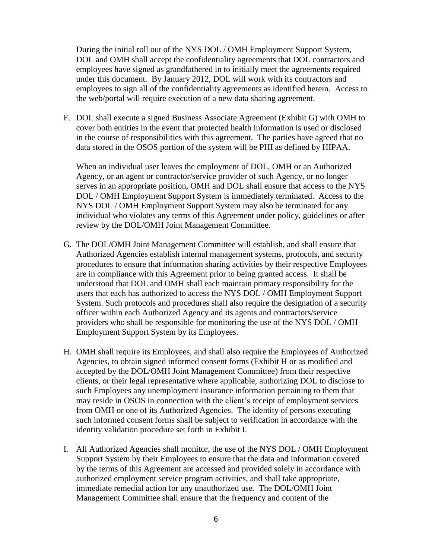During the initial roll out of the NYS DOL / OMH Employment Support System, DOL and OMH shall accept the confidentiality agreements that DOL contractors and employees have signed as grandfathered in to initially meet the agreements required under this document. By January 2012, DOL will work with its contractors and employees to sign all of the confidentiality agreements as identified herein. Access to the web/portal will require execution of a new data sharing agreement.

F. DOL shall execute a signed Business Associate Agreement (Exhibit G) with OMH to cover both entities in the event that protected health information is used or disclosed in the course of responsibilities with this agreement. The parties have agreed that no data stored in the OSOS portion of the system will be PHI as defined by HIPAA.

When an individual user leaves the employment of DOL, OMH or an Authorized Agency, or an agent or contractor/service provider of such Agency, or no longer serves in an appropriate position, OMH and DOL shall ensure that access to the NYS DOL / OMH Employment Support System is immediately terminated. Access to the NYS DOL / OMH Employment Support System may also be terminated for any individual who violates any terms of this Agreement under policy, guidelines or after review by the DOL/OMH Joint Management Committee.

- G. The DOL/OMH Joint Management Committee will establish, and shall ensure that Authorized Agencies establish internal management systems, protocols, and security procedures to ensure that information sharing activities by their respective Employees are in compliance with this Agreement prior to being granted access. It shall be understood that DOL and OMH shall each maintain primary responsibility for the users that each has authorized to access the NYS DOL / OMH Employment Support System. Such protocols and procedures shall also require the designation of a security officer within each Authorized Agency and its agents and contractors/service providers who shall be responsible for monitoring the use of the NYS DOL / OMH Employment Support System by its Employees.
- H. OMH shall require its Employees, and shall also require the Employees of Authorized Agencies, to obtain signed informed consent forms (Exhibit H or as modified and accepted by the DOL/OMH Joint Management Committee) from their respective clients, or their legal representative where applicable, authorizing DOL to disclose to such Employees any unemployment insurance information pertaining to them that may reside in OSOS in connection with the client's receipt of employment services from OMH or one of its Authorized Agencies. The identity of persons executing such informed consent forms shall be subject to verification in accordance with the identity validation procedure set forth in Exhibit I.
- I. All Authorized Agencies shall monitor, the use of the NYS DOL / OMH Employment Support System by their Employees to ensure that the data and information covered by the terms of this Agreement are accessed and provided solely in accordance with authorized employment service program activities, and shall take appropriate, immediate remedial action for any unauthorized use. The DOL/OMH Joint Management Committee shall ensure that the frequency and content of the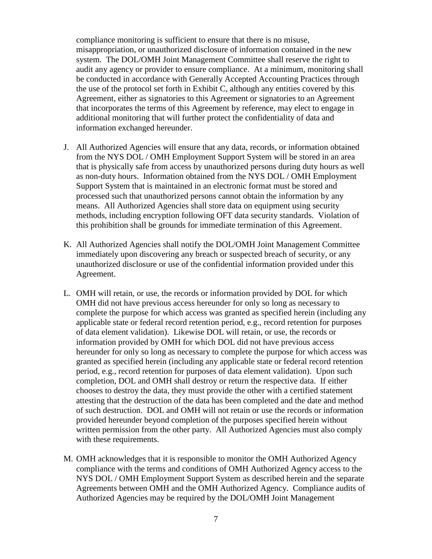compliance monitoring is sufficient to ensure that there is no misuse, misappropriation, or unauthorized disclosure of information contained in the new system. The DOL/OMH Joint Management Committee shall reserve the right to audit any agency or provider to ensure compliance. At a minimum, monitoring shall be conducted in accordance with Generally Accepted Accounting Practices through the use of the protocol set forth in Exhibit C, although any entities covered by this Agreement, either as signatories to this Agreement or signatories to an Agreement that incorporates the terms of this Agreement by reference, may elect to engage in additional monitoring that will further protect the confidentiality of data and information exchanged hereunder.

- J. All Authorized Agencies will ensure that any data, records, or information obtained from the NYS DOL / OMH Employment Support System will be stored in an area that is physically safe from access by unauthorized persons during duty hours as well as non-duty hours. Information obtained from the NYS DOL / OMH Employment Support System that is maintained in an electronic format must be stored and processed such that unauthorized persons cannot obtain the information by any means. All Authorized Agencies shall store data on equipment using security methods, including encryption following OFT data security standards. Violation of this prohibition shall be grounds for immediate termination of this Agreement.
- K. All Authorized Agencies shall notify the DOL/OMH Joint Management Committee immediately upon discovering any breach or suspected breach of security, or any unauthorized disclosure or use of the confidential information provided under this Agreement.
- L. OMH will retain, or use, the records or information provided by DOL for which OMH did not have previous access hereunder for only so long as necessary to complete the purpose for which access was granted as specified herein (including any applicable state or federal record retention period, e.g., record retention for purposes of data element validation). Likewise DOL will retain, or use, the records or information provided by OMH for which DOL did not have previous access hereunder for only so long as necessary to complete the purpose for which access was granted as specified herein (including any applicable state or federal record retention period, e.g., record retention for purposes of data element validation). Upon such completion, DOL and OMH shall destroy or return the respective data. If either chooses to destroy the data, they must provide the other with a certified statement attesting that the destruction of the data has been completed and the date and method of such destruction. DOL and OMH will not retain or use the records or information provided hereunder beyond completion of the purposes specified herein without written permission from the other party. All Authorized Agencies must also comply with these requirements.
- M. OMH acknowledges that it is responsible to monitor the OMH Authorized Agency compliance with the terms and conditions of OMH Authorized Agency access to the NYS DOL / OMH Employment Support System as described herein and the separate Agreements between OMH and the OMH Authorized Agency. Compliance audits of Authorized Agencies may be required by the DOL/OMH Joint Management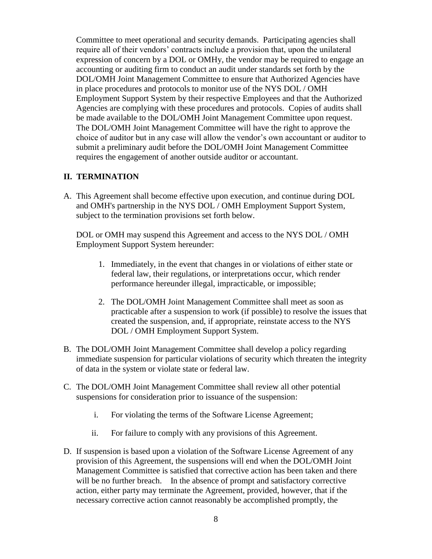Committee to meet operational and security demands. Participating agencies shall require all of their vendors' contracts include a provision that, upon the unilateral expression of concern by a DOL or OMHy, the vendor may be required to engage an accounting or auditing firm to conduct an audit under standards set forth by the DOL/OMH Joint Management Committee to ensure that Authorized Agencies have in place procedures and protocols to monitor use of the NYS DOL / OMH Employment Support System by their respective Employees and that the Authorized Agencies are complying with these procedures and protocols. Copies of audits shall be made available to the DOL/OMH Joint Management Committee upon request. The DOL/OMH Joint Management Committee will have the right to approve the choice of auditor but in any case will allow the vendor's own accountant or auditor to submit a preliminary audit before the DOL/OMH Joint Management Committee requires the engagement of another outside auditor or accountant.

## **II. TERMINATION**

A. This Agreement shall become effective upon execution, and continue during DOL and OMH's partnership in the NYS DOL / OMH Employment Support System, subject to the termination provisions set forth below.

DOL or OMH may suspend this Agreement and access to the NYS DOL / OMH Employment Support System hereunder:

- 1. Immediately, in the event that changes in or violations of either state or federal law, their regulations, or interpretations occur, which render performance hereunder illegal, impracticable, or impossible;
- 2. The DOL/OMH Joint Management Committee shall meet as soon as practicable after a suspension to work (if possible) to resolve the issues that created the suspension, and, if appropriate, reinstate access to the NYS DOL / OMH Employment Support System.
- B. The DOL/OMH Joint Management Committee shall develop a policy regarding immediate suspension for particular violations of security which threaten the integrity of data in the system or violate state or federal law.
- C. The DOL/OMH Joint Management Committee shall review all other potential suspensions for consideration prior to issuance of the suspension:
	- i. For violating the terms of the Software License Agreement;
	- ii. For failure to comply with any provisions of this Agreement.
- D. If suspension is based upon a violation of the Software License Agreement of any provision of this Agreement, the suspensions will end when the DOL/OMH Joint Management Committee is satisfied that corrective action has been taken and there will be no further breach. In the absence of prompt and satisfactory corrective action, either party may terminate the Agreement, provided, however, that if the necessary corrective action cannot reasonably be accomplished promptly, the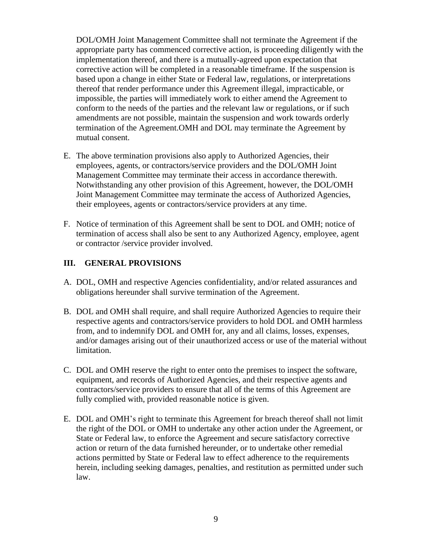DOL/OMH Joint Management Committee shall not terminate the Agreement if the appropriate party has commenced corrective action, is proceeding diligently with the implementation thereof, and there is a mutually-agreed upon expectation that corrective action will be completed in a reasonable timeframe. If the suspension is based upon a change in either State or Federal law, regulations, or interpretations thereof that render performance under this Agreement illegal, impracticable, or impossible, the parties will immediately work to either amend the Agreement to conform to the needs of the parties and the relevant law or regulations, or if such amendments are not possible, maintain the suspension and work towards orderly termination of the Agreement.OMH and DOL may terminate the Agreement by mutual consent.

- E. The above termination provisions also apply to Authorized Agencies, their employees, agents, or contractors/service providers and the DOL/OMH Joint Management Committee may terminate their access in accordance therewith. Notwithstanding any other provision of this Agreement, however, the DOL/OMH Joint Management Committee may terminate the access of Authorized Agencies, their employees, agents or contractors/service providers at any time.
- F. Notice of termination of this Agreement shall be sent to DOL and OMH; notice of termination of access shall also be sent to any Authorized Agency, employee, agent or contractor /service provider involved.

## **III. GENERAL PROVISIONS**

- A. DOL, OMH and respective Agencies confidentiality, and/or related assurances and obligations hereunder shall survive termination of the Agreement.
- B. DOL and OMH shall require, and shall require Authorized Agencies to require their respective agents and contractors/service providers to hold DOL and OMH harmless from, and to indemnify DOL and OMH for, any and all claims, losses, expenses, and/or damages arising out of their unauthorized access or use of the material without limitation.
- C. DOL and OMH reserve the right to enter onto the premises to inspect the software, equipment, and records of Authorized Agencies, and their respective agents and contractors/service providers to ensure that all of the terms of this Agreement are fully complied with, provided reasonable notice is given.
- E. DOL and OMH's right to terminate this Agreement for breach thereof shall not limit the right of the DOL or OMH to undertake any other action under the Agreement, or State or Federal law, to enforce the Agreement and secure satisfactory corrective action or return of the data furnished hereunder, or to undertake other remedial actions permitted by State or Federal law to effect adherence to the requirements herein, including seeking damages, penalties, and restitution as permitted under such law.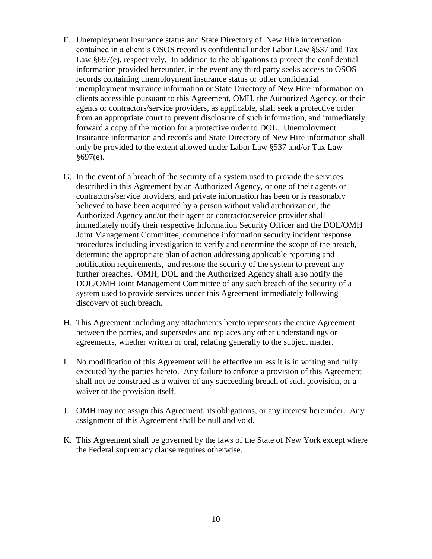- F. Unemployment insurance status and State Directory of New Hire information contained in a client's OSOS record is confidential under Labor Law §537 and Tax Law §697(e), respectively. In addition to the obligations to protect the confidential information provided hereunder, in the event any third party seeks access to OSOS records containing unemployment insurance status or other confidential unemployment insurance information or State Directory of New Hire information on clients accessible pursuant to this Agreement, OMH, the Authorized Agency, or their agents or contractors/service providers, as applicable, shall seek a protective order from an appropriate court to prevent disclosure of such information, and immediately forward a copy of the motion for a protective order to DOL. Unemployment Insurance information and records and State Directory of New Hire information shall only be provided to the extent allowed under Labor Law §537 and/or Tax Law  $§697(e)$ .
- G. In the event of a breach of the security of a system used to provide the services described in this Agreement by an Authorized Agency, or one of their agents or contractors/service providers, and private information has been or is reasonably believed to have been acquired by a person without valid authorization, the Authorized Agency and/or their agent or contractor/service provider shall immediately notify their respective Information Security Officer and the DOL/OMH Joint Management Committee, commence information security incident response procedures including investigation to verify and determine the scope of the breach, determine the appropriate plan of action addressing applicable reporting and notification requirements, and restore the security of the system to prevent any further breaches. OMH, DOL and the Authorized Agency shall also notify the DOL/OMH Joint Management Committee of any such breach of the security of a system used to provide services under this Agreement immediately following discovery of such breach.
- H. This Agreement including any attachments hereto represents the entire Agreement between the parties, and supersedes and replaces any other understandings or agreements, whether written or oral, relating generally to the subject matter.
- I. No modification of this Agreement will be effective unless it is in writing and fully executed by the parties hereto. Any failure to enforce a provision of this Agreement shall not be construed as a waiver of any succeeding breach of such provision, or a waiver of the provision itself.
- J. OMH may not assign this Agreement, its obligations, or any interest hereunder. Any assignment of this Agreement shall be null and void.
- K. This Agreement shall be governed by the laws of the State of New York except where the Federal supremacy clause requires otherwise.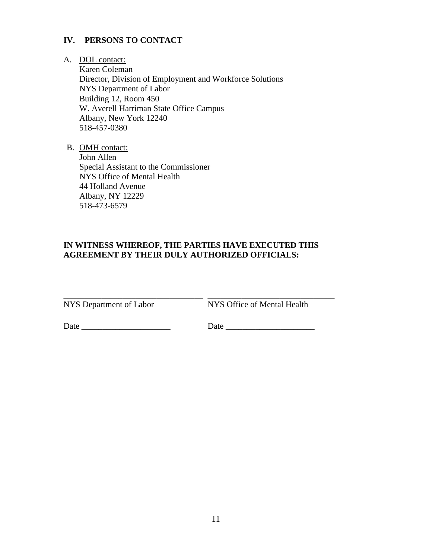## **IV. PERSONS TO CONTACT**

### A. DOL contact:

Karen Coleman Director, Division of Employment and Workforce Solutions NYS Department of Labor Building 12, Room 450 W. Averell Harriman State Office Campus Albany, New York 12240 518-457-0380

B. OMH contact:

John Allen Special Assistant to the Commissioner NYS Office of Mental Health 44 Holland Avenue Albany, NY 12229 518-473-6579

# **IN WITNESS WHEREOF, THE PARTIES HAVE EXECUTED THIS AGREEMENT BY THEIR DULY AUTHORIZED OFFICIALS:**

NYS Department of Labor

NYS Office of Mental Health

\_\_\_\_\_\_\_\_\_\_\_\_\_\_\_\_\_\_\_\_\_\_\_\_\_\_\_\_\_\_

Date \_\_\_\_\_\_\_\_\_\_\_\_\_\_\_\_\_\_\_\_\_ Date \_\_\_\_\_\_\_\_\_\_\_\_\_\_\_\_\_\_\_\_\_

\_\_\_\_\_\_\_\_\_\_\_\_\_\_\_\_\_\_\_\_\_\_\_\_\_\_\_\_\_\_\_\_\_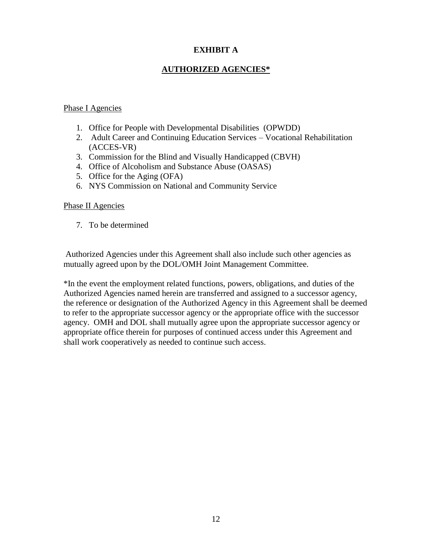# **EXHIBIT A**

# **AUTHORIZED AGENCIES\***

## Phase I Agencies

- 1. Office for People with Developmental Disabilities (OPWDD)
- 2. Adult Career and Continuing Education Services Vocational Rehabilitation (ACCES-VR)
- 3. Commission for the Blind and Visually Handicapped (CBVH)
- 4. Office of Alcoholism and Substance Abuse (OASAS)
- 5. Office for the Aging (OFA)
- 6. NYS Commission on National and Community Service

## Phase II Agencies

7. To be determined

Authorized Agencies under this Agreement shall also include such other agencies as mutually agreed upon by the DOL/OMH Joint Management Committee.

\*In the event the employment related functions, powers, obligations, and duties of the Authorized Agencies named herein are transferred and assigned to a successor agency, the reference or designation of the Authorized Agency in this Agreement shall be deemed to refer to the appropriate successor agency or the appropriate office with the successor agency. OMH and DOL shall mutually agree upon the appropriate successor agency or appropriate office therein for purposes of continued access under this Agreement and shall work cooperatively as needed to continue such access.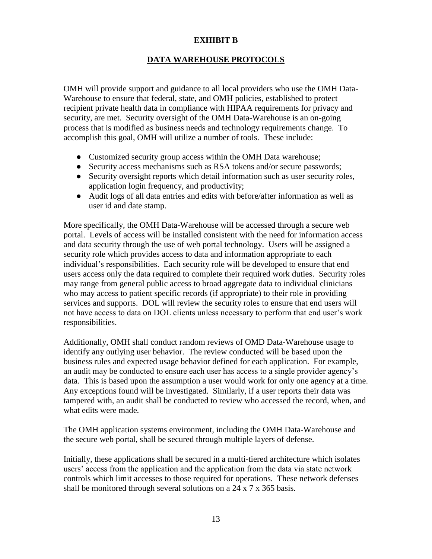## **EXHIBIT B**

# **DATA WAREHOUSE PROTOCOLS**

OMH will provide support and guidance to all local providers who use the OMH Data-Warehouse to ensure that federal, state, and OMH policies, established to protect recipient private health data in compliance with HIPAA requirements for privacy and security, are met. Security oversight of the OMH Data-Warehouse is an on-going process that is modified as business needs and technology requirements change. To accomplish this goal, OMH will utilize a number of tools. These include:

- Customized security group access within the OMH Data warehouse;
- Security access mechanisms such as RSA tokens and/or secure passwords;
- Security oversight reports which detail information such as user security roles, application login frequency, and productivity;
- Audit logs of all data entries and edits with before/after information as well as user id and date stamp.

More specifically, the OMH Data-Warehouse will be accessed through a secure web portal. Levels of access will be installed consistent with the need for information access and data security through the use of web portal technology. Users will be assigned a security role which provides access to data and information appropriate to each individual's responsibilities. Each security role will be developed to ensure that end users access only the data required to complete their required work duties. Security roles may range from general public access to broad aggregate data to individual clinicians who may access to patient specific records (if appropriate) to their role in providing services and supports. DOL will review the security roles to ensure that end users will not have access to data on DOL clients unless necessary to perform that end user's work responsibilities.

Additionally, OMH shall conduct random reviews of OMD Data-Warehouse usage to identify any outlying user behavior. The review conducted will be based upon the business rules and expected usage behavior defined for each application. For example, an audit may be conducted to ensure each user has access to a single provider agency's data. This is based upon the assumption a user would work for only one agency at a time. Any exceptions found will be investigated. Similarly, if a user reports their data was tampered with, an audit shall be conducted to review who accessed the record, when, and what edits were made.

The OMH application systems environment, including the OMH Data-Warehouse and the secure web portal, shall be secured through multiple layers of defense.

Initially, these applications shall be secured in a multi-tiered architecture which isolates users' access from the application and the application from the data via state network controls which limit accesses to those required for operations. These network defenses shall be monitored through several solutions on a 24 x 7 x 365 basis.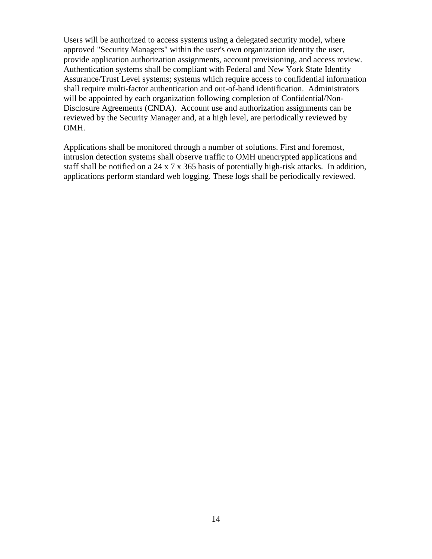Users will be authorized to access systems using a delegated security model, where approved "Security Managers" within the user's own organization identity the user, provide application authorization assignments, account provisioning, and access review. Authentication systems shall be compliant with Federal and New York State Identity Assurance/Trust Level systems; systems which require access to confidential information shall require multi-factor authentication and out-of-band identification. Administrators will be appointed by each organization following completion of Confidential/Non-Disclosure Agreements (CNDA). Account use and authorization assignments can be reviewed by the Security Manager and, at a high level, are periodically reviewed by OMH.

Applications shall be monitored through a number of solutions. First and foremost, intrusion detection systems shall observe traffic to OMH unencrypted applications and staff shall be notified on a 24 x 7 x 365 basis of potentially high-risk attacks. In addition, applications perform standard web logging. These logs shall be periodically reviewed.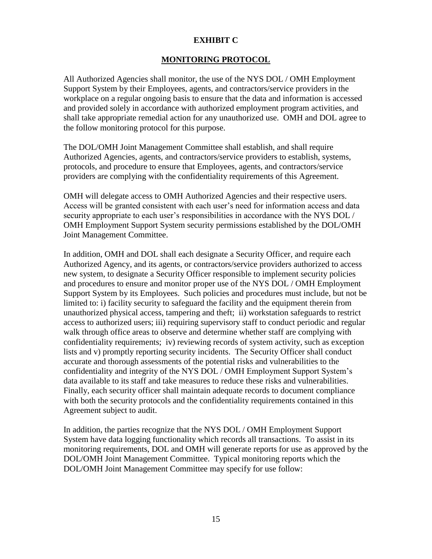## **EXHIBIT C**

# **MONITORING PROTOCOL**

All Authorized Agencies shall monitor, the use of the NYS DOL / OMH Employment Support System by their Employees, agents, and contractors/service providers in the workplace on a regular ongoing basis to ensure that the data and information is accessed and provided solely in accordance with authorized employment program activities, and shall take appropriate remedial action for any unauthorized use. OMH and DOL agree to the follow monitoring protocol for this purpose.

The DOL/OMH Joint Management Committee shall establish, and shall require Authorized Agencies, agents, and contractors/service providers to establish, systems, protocols, and procedure to ensure that Employees, agents, and contractors/service providers are complying with the confidentiality requirements of this Agreement.

OMH will delegate access to OMH Authorized Agencies and their respective users. Access will be granted consistent with each user's need for information access and data security appropriate to each user's responsibilities in accordance with the NYS DOL / OMH Employment Support System security permissions established by the DOL/OMH Joint Management Committee.

In addition, OMH and DOL shall each designate a Security Officer, and require each Authorized Agency, and its agents, or contractors/service providers authorized to access new system, to designate a Security Officer responsible to implement security policies and procedures to ensure and monitor proper use of the NYS DOL / OMH Employment Support System by its Employees. Such policies and procedures must include, but not be limited to: i) facility security to safeguard the facility and the equipment therein from unauthorized physical access, tampering and theft; ii) workstation safeguards to restrict access to authorized users; iii) requiring supervisory staff to conduct periodic and regular walk through office areas to observe and determine whether staff are complying with confidentiality requirements; iv) reviewing records of system activity, such as exception lists and v) promptly reporting security incidents. The Security Officer shall conduct accurate and thorough assessments of the potential risks and vulnerabilities to the confidentiality and integrity of the NYS DOL / OMH Employment Support System's data available to its staff and take measures to reduce these risks and vulnerabilities. Finally, each security officer shall maintain adequate records to document compliance with both the security protocols and the confidentiality requirements contained in this Agreement subject to audit.

In addition, the parties recognize that the NYS DOL / OMH Employment Support System have data logging functionality which records all transactions. To assist in its monitoring requirements, DOL and OMH will generate reports for use as approved by the DOL/OMH Joint Management Committee. Typical monitoring reports which the DOL/OMH Joint Management Committee may specify for use follow: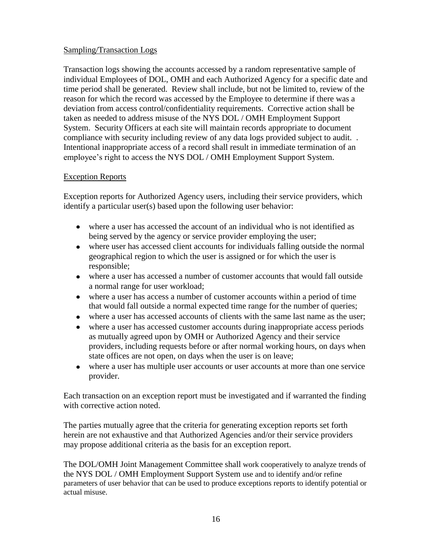# Sampling/Transaction Logs

Transaction logs showing the accounts accessed by a random representative sample of individual Employees of DOL, OMH and each Authorized Agency for a specific date and time period shall be generated. Review shall include, but not be limited to, review of the reason for which the record was accessed by the Employee to determine if there was a deviation from access control/confidentiality requirements. Corrective action shall be taken as needed to address misuse of the NYS DOL / OMH Employment Support System. Security Officers at each site will maintain records appropriate to document compliance with security including review of any data logs provided subject to audit. . Intentional inappropriate access of a record shall result in immediate termination of an employee's right to access the NYS DOL / OMH Employment Support System.

## Exception Reports

Exception reports for Authorized Agency users, including their service providers, which identify a particular user(s) based upon the following user behavior:

- where a user has accessed the account of an individual who is not identified as being served by the agency or service provider employing the user;
- where user has accessed client accounts for individuals falling outside the normal geographical region to which the user is assigned or for which the user is responsible;
- where a user has accessed a number of customer accounts that would fall outside a normal range for user workload;
- where a user has access a number of customer accounts within a period of time that would fall outside a normal expected time range for the number of queries;
- where a user has accessed accounts of clients with the same last name as the user;
- where a user has accessed customer accounts during inappropriate access periods as mutually agreed upon by OMH or Authorized Agency and their service providers, including requests before or after normal working hours, on days when state offices are not open, on days when the user is on leave;
- where a user has multiple user accounts or user accounts at more than one service provider.

Each transaction on an exception report must be investigated and if warranted the finding with corrective action noted.

The parties mutually agree that the criteria for generating exception reports set forth herein are not exhaustive and that Authorized Agencies and/or their service providers may propose additional criteria as the basis for an exception report.

The DOL/OMH Joint Management Committee shall work cooperatively to analyze trends of the NYS DOL / OMH Employment Support System use and to identify and/or refine parameters of user behavior that can be used to produce exceptions reports to identify potential or actual misuse.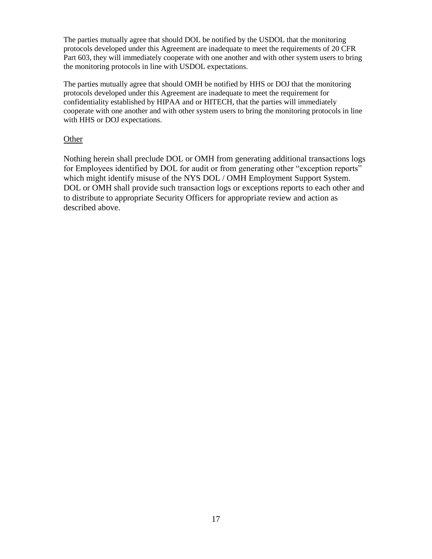The parties mutually agree that should DOL be notified by the USDOL that the monitoring protocols developed under this Agreement are inadequate to meet the requirements of 20 CFR Part 603, they will immediately cooperate with one another and with other system users to bring the monitoring protocols in line with USDOL expectations.

The parties mutually agree that should OMH be notified by HHS or DOJ that the monitoring protocols developed under this Agreement are inadequate to meet the requirement for confidentiality established by HIPAA and or HITECH, that the parties will immediately cooperate with one another and with other system users to bring the monitoring protocols in line with HHS or DOJ expectations.

### Other

Nothing herein shall preclude DOL or OMH from generating additional transactions logs for Employees identified by DOL for audit or from generating other "exception reports" which might identify misuse of the NYS DOL / OMH Employment Support System. DOL or OMH shall provide such transaction logs or exceptions reports to each other and to distribute to appropriate Security Officers for appropriate review and action as described above.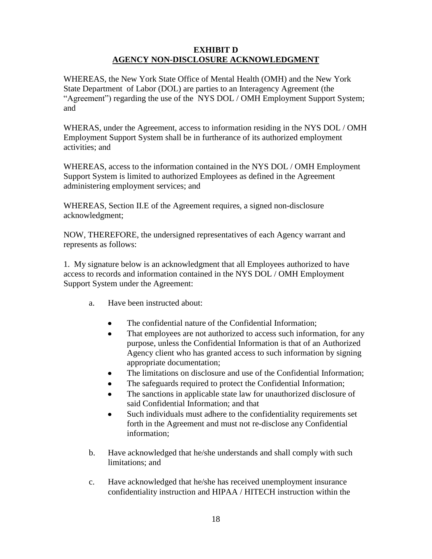## **EXHIBIT D AGENCY NON-DISCLOSURE ACKNOWLEDGMENT**

WHEREAS, the New York State Office of Mental Health (OMH) and the New York State Department of Labor (DOL) are parties to an Interagency Agreement (the "Agreement") regarding the use of the NYS DOL / OMH Employment Support System; and

WHERAS, under the Agreement, access to information residing in the NYS DOL / OMH Employment Support System shall be in furtherance of its authorized employment activities; and

WHEREAS, access to the information contained in the NYS DOL / OMH Employment Support System is limited to authorized Employees as defined in the Agreement administering employment services; and

WHEREAS, Section II.E of the Agreement requires, a signed non-disclosure acknowledgment;

NOW, THEREFORE, the undersigned representatives of each Agency warrant and represents as follows:

1. My signature below is an acknowledgment that all Employees authorized to have access to records and information contained in the NYS DOL / OMH Employment Support System under the Agreement:

- a. Have been instructed about:
	- The confidential nature of the Confidential Information;  $\bullet$
	- That employees are not authorized to access such information, for any  $\bullet$ purpose, unless the Confidential Information is that of an Authorized Agency client who has granted access to such information by signing appropriate documentation;
	- The limitations on disclosure and use of the Confidential Information;
	- The safeguards required to protect the Confidential Information;
	- The sanctions in applicable state law for unauthorized disclosure of said Confidential Information; and that
	- Such individuals must adhere to the confidentiality requirements set forth in the Agreement and must not re-disclose any Confidential information;
- b. Have acknowledged that he/she understands and shall comply with such limitations; and
- c. Have acknowledged that he/she has received unemployment insurance confidentiality instruction and HIPAA / HITECH instruction within the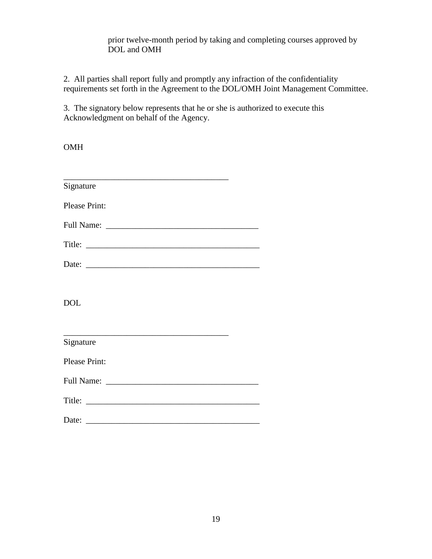## prior twelve-month period by taking and completing courses approved by DOL and OMH

2. All parties shall report fully and promptly any infraction of the confidentiality requirements set forth in the Agreement to the DOL/OMH Joint Management Committee.

3. The signatory below represents that he or she is authorized to execute this Acknowledgment on behalf of the Agency.

OMH

| Signature     |  |
|---------------|--|
| Please Print: |  |
|               |  |
| Title:        |  |
|               |  |
|               |  |
| <b>DOL</b>    |  |
|               |  |
| Signature     |  |
| Please Print: |  |
|               |  |
|               |  |
|               |  |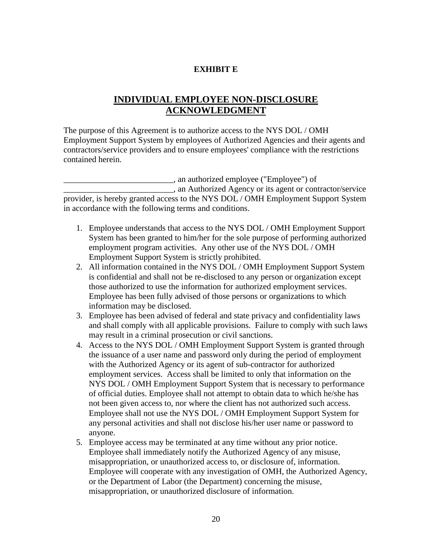## **EXHIBIT E**

# **INDIVIDUAL EMPLOYEE NON-DISCLOSURE ACKNOWLEDGMENT**

The purpose of this Agreement is to authorize access to the NYS DOL / OMH Employment Support System by employees of Authorized Agencies and their agents and contractors/service providers and to ensure employees' compliance with the restrictions contained herein.

\_\_\_\_\_\_\_\_\_\_\_\_\_\_\_\_\_\_\_\_\_\_\_\_\_\_, an authorized employee ("Employee") of \_\_\_\_\_\_\_\_\_\_\_\_\_\_\_\_\_\_\_\_\_\_\_\_\_\_, an Authorized Agency or its agent or contractor/service provider, is hereby granted access to the NYS DOL / OMH Employment Support System in accordance with the following terms and conditions.

- 1. Employee understands that access to the NYS DOL / OMH Employment Support System has been granted to him/her for the sole purpose of performing authorized employment program activities. Any other use of the NYS DOL / OMH Employment Support System is strictly prohibited.
- 2. All information contained in the NYS DOL / OMH Employment Support System is confidential and shall not be re-disclosed to any person or organization except those authorized to use the information for authorized employment services. Employee has been fully advised of those persons or organizations to which information may be disclosed.
- 3. Employee has been advised of federal and state privacy and confidentiality laws and shall comply with all applicable provisions. Failure to comply with such laws may result in a criminal prosecution or civil sanctions.
- 4. Access to the NYS DOL / OMH Employment Support System is granted through the issuance of a user name and password only during the period of employment with the Authorized Agency or its agent of sub-contractor for authorized employment services. Access shall be limited to only that information on the NYS DOL / OMH Employment Support System that is necessary to performance of official duties. Employee shall not attempt to obtain data to which he/she has not been given access to, nor where the client has not authorized such access. Employee shall not use the NYS DOL / OMH Employment Support System for any personal activities and shall not disclose his/her user name or password to anyone.
- 5. Employee access may be terminated at any time without any prior notice. Employee shall immediately notify the Authorized Agency of any misuse, misappropriation, or unauthorized access to, or disclosure of, information. Employee will cooperate with any investigation of OMH, the Authorized Agency, or the Department of Labor (the Department) concerning the misuse, misappropriation, or unauthorized disclosure of information.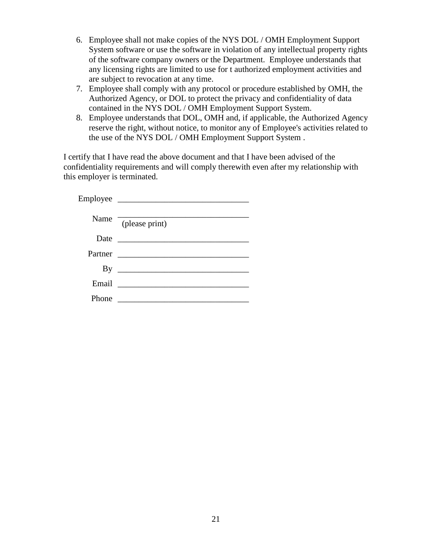- 6. Employee shall not make copies of the NYS DOL / OMH Employment Support System software or use the software in violation of any intellectual property rights of the software company owners or the Department. Employee understands that any licensing rights are limited to use for t authorized employment activities and are subject to revocation at any time.
- 7. Employee shall comply with any protocol or procedure established by OMH, the Authorized Agency, or DOL to protect the privacy and confidentiality of data contained in the NYS DOL / OMH Employment Support System.
- 8. Employee understands that DOL, OMH and, if applicable, the Authorized Agency reserve the right, without notice, to monitor any of Employee's activities related to the use of the NYS DOL / OMH Employment Support System .

I certify that I have read the above document and that I have been advised of the confidentiality requirements and will comply therewith even after my relationship with this employer is terminated.

| Name    | $\sqrt{\text{(please print)}}$              |
|---------|---------------------------------------------|
| Date    |                                             |
| Partner | <u> 1980 - Amerikaans Staatsmanner (</u>    |
| By      |                                             |
| Email   | <u> 1986 - Jan Samuel Barbara, martin d</u> |
| hone    |                                             |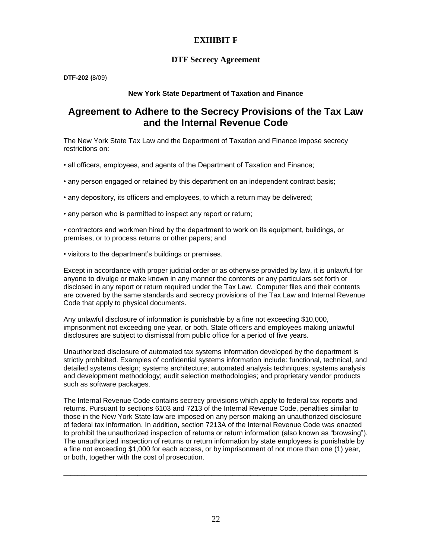## **EXHIBIT F**

### **DTF Secrecy Agreement**

**DTF-202 (**8/09)

### **New York State Department of Taxation and Finance**

# **Agreement to Adhere to the Secrecy Provisions of the Tax Law and the Internal Revenue Code**

The New York State Tax Law and the Department of Taxation and Finance impose secrecy restrictions on:

- all officers, employees, and agents of the Department of Taxation and Finance;
- any person engaged or retained by this department on an independent contract basis;
- any depository, its officers and employees, to which a return may be delivered;
- any person who is permitted to inspect any report or return;

• contractors and workmen hired by the department to work on its equipment, buildings, or premises, or to process returns or other papers; and

• visitors to the department's buildings or premises.

Except in accordance with proper judicial order or as otherwise provided by law, it is unlawful for anyone to divulge or make known in any manner the contents or any particulars set forth or disclosed in any report or return required under the Tax Law. Computer files and their contents are covered by the same standards and secrecy provisions of the Tax Law and Internal Revenue Code that apply to physical documents.

Any unlawful disclosure of information is punishable by a fine not exceeding \$10,000, imprisonment not exceeding one year, or both. State officers and employees making unlawful disclosures are subject to dismissal from public office for a period of five years.

Unauthorized disclosure of automated tax systems information developed by the department is strictly prohibited. Examples of confidential systems information include: functional, technical, and detailed systems design; systems architecture; automated analysis techniques; systems analysis and development methodology; audit selection methodologies; and proprietary vendor products such as software packages.

The Internal Revenue Code contains secrecy provisions which apply to federal tax reports and returns. Pursuant to sections 6103 and 7213 of the Internal Revenue Code, penalties similar to those in the New York State law are imposed on any person making an unauthorized disclosure of federal tax information. In addition, section 7213A of the Internal Revenue Code was enacted to prohibit the unauthorized inspection of returns or return information (also known as "browsing"). The unauthorized inspection of returns or return information by state employees is punishable by a fine not exceeding \$1,000 for each access, or by imprisonment of not more than one (1) year, or both, together with the cost of prosecution.

 $\_$  ,  $\_$  ,  $\_$  ,  $\_$  ,  $\_$  ,  $\_$  ,  $\_$  ,  $\_$  ,  $\_$  ,  $\_$  ,  $\_$  ,  $\_$  ,  $\_$  ,  $\_$  ,  $\_$  ,  $\_$  ,  $\_$  ,  $\_$  ,  $\_$  ,  $\_$  ,  $\_$  ,  $\_$  ,  $\_$  ,  $\_$  ,  $\_$  ,  $\_$  ,  $\_$  ,  $\_$  ,  $\_$  ,  $\_$  ,  $\_$  ,  $\_$  ,  $\_$  ,  $\_$  ,  $\_$  ,  $\_$  ,  $\_$  ,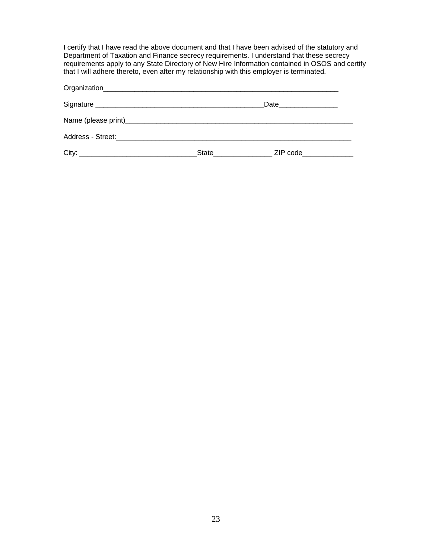I certify that I have read the above document and that I have been advised of the statutory and Department of Taxation and Finance secrecy requirements. I understand that these secrecy requirements apply to any State Directory of New Hire Information contained in OSOS and certify that I will adhere thereto, even after my relationship with this employer is terminated.

|  | Date___________________                                                                                                                                                        |
|--|--------------------------------------------------------------------------------------------------------------------------------------------------------------------------------|
|  |                                                                                                                                                                                |
|  |                                                                                                                                                                                |
|  | State <b>State State State State State State State State State State State State State State State State State State State State State State State State State State State</b> |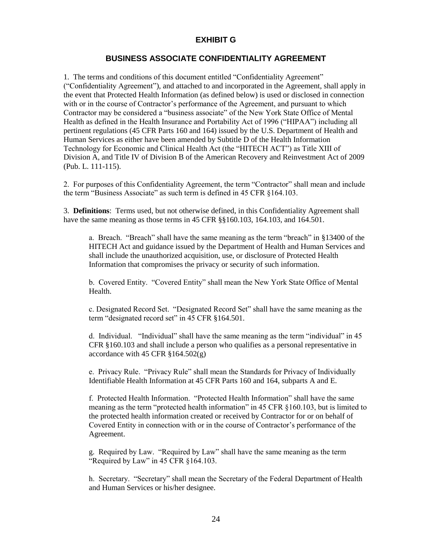## **EXHIBIT G**

## **BUSINESS ASSOCIATE CONFIDENTIALITY AGREEMENT**

1. The terms and conditions of this document entitled "Confidentiality Agreement" ("Confidentiality Agreement"), and attached to and incorporated in the Agreement, shall apply in the event that Protected Health Information (as defined below) is used or disclosed in connection with or in the course of Contractor's performance of the Agreement, and pursuant to which Contractor may be considered a "business associate" of the New York State Office of Mental Health as defined in the Health Insurance and Portability Act of 1996 ("HIPAA") including all pertinent regulations (45 CFR Parts 160 and 164) issued by the U.S. Department of Health and Human Services as either have been amended by Subtitle D of the Health Information Technology for Economic and Clinical Health Act (the "HITECH ACT") as Title XIII of Division A, and Title IV of Division B of the American Recovery and Reinvestment Act of 2009 (Pub. L. 111-115).

2. For purposes of this Confidentiality Agreement, the term "Contractor" shall mean and include the term "Business Associate" as such term is defined in 45 CFR §164.103.

3. **Definitions**: Terms used, but not otherwise defined, in this Confidentiality Agreement shall have the same meaning as those terms in 45 CFR §§160.103, 164.103, and 164.501.

a. Breach. "Breach" shall have the same meaning as the term "breach" in §13400 of the HITECH Act and guidance issued by the Department of Health and Human Services and shall include the unauthorized acquisition, use, or disclosure of Protected Health Information that compromises the privacy or security of such information.

b. Covered Entity. "Covered Entity" shall mean the New York State Office of Mental Health.

c. Designated Record Set. "Designated Record Set" shall have the same meaning as the term "designated record set" in 45 CFR §164.501.

d. Individual. "Individual" shall have the same meaning as the term "individual" in 45 CFR §160.103 and shall include a person who qualifies as a personal representative in accordance with 45 CFR  $\S 164.502(g)$ 

e. Privacy Rule. "Privacy Rule" shall mean the Standards for Privacy of Individually Identifiable Health Information at 45 CFR Parts 160 and 164, subparts A and E.

f. Protected Health Information. "Protected Health Information" shall have the same meaning as the term "protected health information" in 45 CFR §160.103, but is limited to the protected health information created or received by Contractor for or on behalf of Covered Entity in connection with or in the course of Contractor's performance of the Agreement.

g. Required by Law. "Required by Law" shall have the same meaning as the term "Required by Law" in 45 CFR §164.103.

h. Secretary. "Secretary" shall mean the Secretary of the Federal Department of Health and Human Services or his/her designee.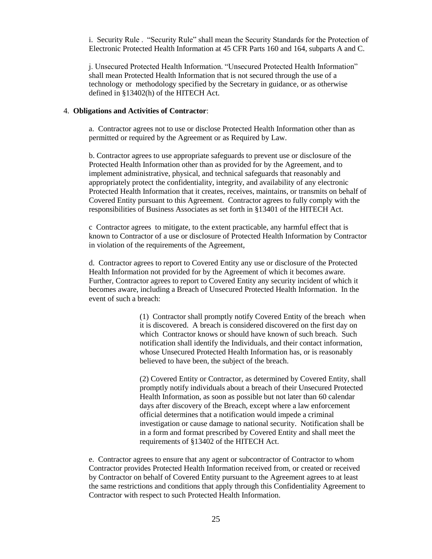i. Security Rule . "Security Rule" shall mean the Security Standards for the Protection of Electronic Protected Health Information at 45 CFR Parts 160 and 164, subparts A and C.

j. Unsecured Protected Health Information. "Unsecured Protected Health Information" shall mean Protected Health Information that is not secured through the use of a technology or methodology specified by the Secretary in guidance, or as otherwise defined in §13402(h) of the HITECH Act.

#### 4. **Obligations and Activities of Contractor**:

a. Contractor agrees not to use or disclose Protected Health Information other than as permitted or required by the Agreement or as Required by Law.

b. Contractor agrees to use appropriate safeguards to prevent use or disclosure of the Protected Health Information other than as provided for by the Agreement, and to implement administrative, physical, and technical safeguards that reasonably and appropriately protect the confidentiality, integrity, and availability of any electronic Protected Health Information that it creates, receives, maintains, or transmits on behalf of Covered Entity pursuant to this Agreement. Contractor agrees to fully comply with the responsibilities of Business Associates as set forth in §13401 of the HITECH Act.

c Contractor agrees to mitigate, to the extent practicable, any harmful effect that is known to Contractor of a use or disclosure of Protected Health Information by Contractor in violation of the requirements of the Agreement,

d. Contractor agrees to report to Covered Entity any use or disclosure of the Protected Health Information not provided for by the Agreement of which it becomes aware. Further, Contractor agrees to report to Covered Entity any security incident of which it becomes aware, including a Breach of Unsecured Protected Health Information. In the event of such a breach:

> (1) Contractor shall promptly notify Covered Entity of the breach when it is discovered. A breach is considered discovered on the first day on which Contractor knows or should have known of such breach. Such notification shall identify the Individuals, and their contact information, whose Unsecured Protected Health Information has, or is reasonably believed to have been, the subject of the breach.

> (2) Covered Entity or Contractor, as determined by Covered Entity, shall promptly notify individuals about a breach of their Unsecured Protected Health Information, as soon as possible but not later than 60 calendar days after discovery of the Breach, except where a law enforcement official determines that a notification would impede a criminal investigation or cause damage to national security. Notification shall be in a form and format prescribed by Covered Entity and shall meet the requirements of §13402 of the HITECH Act.

e. Contractor agrees to ensure that any agent or subcontractor of Contractor to whom Contractor provides Protected Health Information received from, or created or received by Contractor on behalf of Covered Entity pursuant to the Agreement agrees to at least the same restrictions and conditions that apply through this Confidentiality Agreement to Contractor with respect to such Protected Health Information.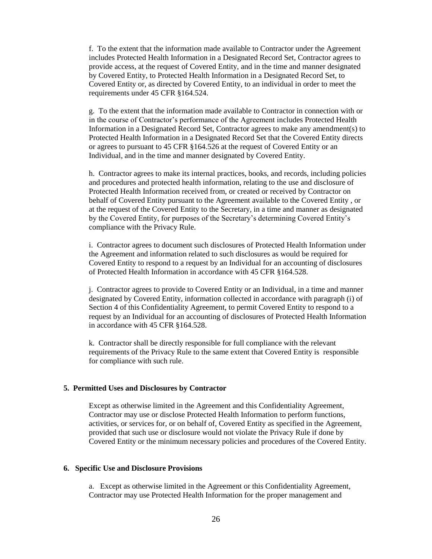f. To the extent that the information made available to Contractor under the Agreement includes Protected Health Information in a Designated Record Set, Contractor agrees to provide access, at the request of Covered Entity, and in the time and manner designated by Covered Entity, to Protected Health Information in a Designated Record Set, to Covered Entity or, as directed by Covered Entity, to an individual in order to meet the requirements under 45 CFR §164.524.

g. To the extent that the information made available to Contractor in connection with or in the course of Contractor's performance of the Agreement includes Protected Health Information in a Designated Record Set, Contractor agrees to make any amendment(s) to Protected Health Information in a Designated Record Set that the Covered Entity directs or agrees to pursuant to 45 CFR §164.526 at the request of Covered Entity or an Individual, and in the time and manner designated by Covered Entity.

h. Contractor agrees to make its internal practices, books, and records, including policies and procedures and protected health information, relating to the use and disclosure of Protected Health Information received from, or created or received by Contractor on behalf of Covered Entity pursuant to the Agreement available to the Covered Entity , or at the request of the Covered Entity to the Secretary, in a time and manner as designated by the Covered Entity, for purposes of the Secretary's determining Covered Entity's compliance with the Privacy Rule.

i. Contractor agrees to document such disclosures of Protected Health Information under the Agreement and information related to such disclosures as would be required for Covered Entity to respond to a request by an Individual for an accounting of disclosures of Protected Health Information in accordance with 45 CFR §164.528.

j. Contractor agrees to provide to Covered Entity or an Individual, in a time and manner designated by Covered Entity, information collected in accordance with paragraph (i) of Section 4 of this Confidentiality Agreement, to permit Covered Entity to respond to a request by an Individual for an accounting of disclosures of Protected Health Information in accordance with 45 CFR §164.528.

k. Contractor shall be directly responsible for full compliance with the relevant requirements of the Privacy Rule to the same extent that Covered Entity is responsible for compliance with such rule.

### **5. Permitted Uses and Disclosures by Contractor**

Except as otherwise limited in the Agreement and this Confidentiality Agreement, Contractor may use or disclose Protected Health Information to perform functions, activities, or services for, or on behalf of, Covered Entity as specified in the Agreement, provided that such use or disclosure would not violate the Privacy Rule if done by Covered Entity or the minimum necessary policies and procedures of the Covered Entity.

#### **6. Specific Use and Disclosure Provisions**

a. Except as otherwise limited in the Agreement or this Confidentiality Agreement, Contractor may use Protected Health Information for the proper management and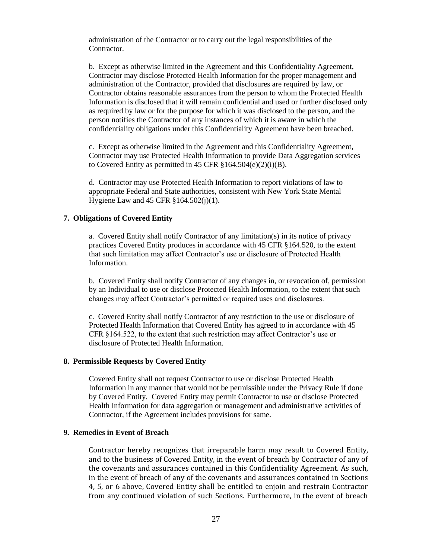administration of the Contractor or to carry out the legal responsibilities of the Contractor.

b. Except as otherwise limited in the Agreement and this Confidentiality Agreement, Contractor may disclose Protected Health Information for the proper management and administration of the Contractor, provided that disclosures are required by law, or Contractor obtains reasonable assurances from the person to whom the Protected Health Information is disclosed that it will remain confidential and used or further disclosed only as required by law or for the purpose for which it was disclosed to the person, and the person notifies the Contractor of any instances of which it is aware in which the confidentiality obligations under this Confidentiality Agreement have been breached.

c. Except as otherwise limited in the Agreement and this Confidentiality Agreement, Contractor may use Protected Health Information to provide Data Aggregation services to Covered Entity as permitted in 45 CFR  $§164.504(e)(2)(i)(B)$ .

d. Contractor may use Protected Health Information to report violations of law to appropriate Federal and State authorities, consistent with New York State Mental Hygiene Law and 45 CFR §164.502(j)(1).

#### **7. Obligations of Covered Entity**

a. Covered Entity shall notify Contractor of any limitation(s) in its notice of privacy practices Covered Entity produces in accordance with 45 CFR §164.520, to the extent that such limitation may affect Contractor's use or disclosure of Protected Health Information.

b. Covered Entity shall notify Contractor of any changes in, or revocation of, permission by an Individual to use or disclose Protected Health Information, to the extent that such changes may affect Contractor's permitted or required uses and disclosures.

c. Covered Entity shall notify Contractor of any restriction to the use or disclosure of Protected Health Information that Covered Entity has agreed to in accordance with 45 CFR §164.522, to the extent that such restriction may affect Contractor's use or disclosure of Protected Health Information.

#### **8. Permissible Requests by Covered Entity**

Covered Entity shall not request Contractor to use or disclose Protected Health Information in any manner that would not be permissible under the Privacy Rule if done by Covered Entity. Covered Entity may permit Contractor to use or disclose Protected Health Information for data aggregation or management and administrative activities of Contractor, if the Agreement includes provisions for same.

### **9. Remedies in Event of Breach**

Contractor hereby recognizes that irreparable harm may result to Covered Entity, and to the business of Covered Entity, in the event of breach by Contractor of any of the covenants and assurances contained in this Confidentiality Agreement. As such, in the event of breach of any of the covenants and assurances contained in Sections 4, 5, or 6 above, Covered Entity shall be entitled to enjoin and restrain Contractor from any continued violation of such Sections. Furthermore, in the event of breach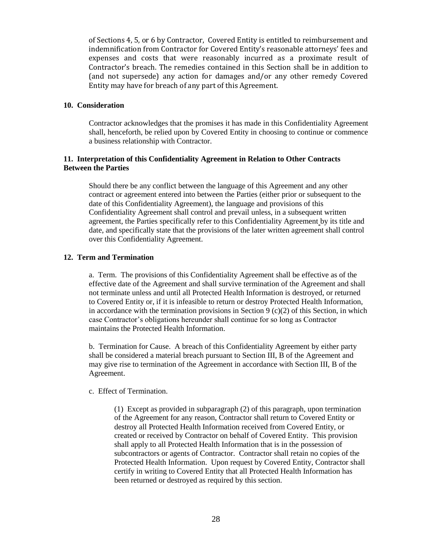of Sections 4, 5, or 6 by Contractor, Covered Entity is entitled to reimbursement and indemnification from Contractor for Covered Entity's reasonable attorneys' fees and expenses and costs that were reasonably incurred as a proximate result of Contractor's breach. The remedies contained in this Section shall be in addition to (and not supersede) any action for damages and/or any other remedy Covered Entity may have for breach of any part of this Agreement.

### **10. Consideration**

Contractor acknowledges that the promises it has made in this Confidentiality Agreement shall, henceforth, be relied upon by Covered Entity in choosing to continue or commence a business relationship with Contractor.

### **11. Interpretation of this Confidentiality Agreement in Relation to Other Contracts Between the Parties**

Should there be any conflict between the language of this Agreement and any other contract or agreement entered into between the Parties (either prior or subsequent to the date of this Confidentiality Agreement), the language and provisions of this Confidentiality Agreement shall control and prevail unless, in a subsequent written agreement, the Parties specifically refer to this Confidentiality Agreement by its title and date, and specifically state that the provisions of the later written agreement shall control over this Confidentiality Agreement.

### **12. Term and Termination**

a. Term. The provisions of this Confidentiality Agreement shall be effective as of the effective date of the Agreement and shall survive termination of the Agreement and shall not terminate unless and until all Protected Health Information is destroyed, or returned to Covered Entity or, if it is infeasible to return or destroy Protected Health Information, in accordance with the termination provisions in Section 9 (c)(2) of this Section, in which case Contractor's obligations hereunder shall continue for so long as Contractor maintains the Protected Health Information.

b. Termination for Cause. A breach of this Confidentiality Agreement by either party shall be considered a material breach pursuant to Section III, B of the Agreement and may give rise to termination of the Agreement in accordance with Section III, B of the Agreement.

c. Effect of Termination.

(1) Except as provided in subparagraph (2) of this paragraph, upon termination of the Agreement for any reason, Contractor shall return to Covered Entity or destroy all Protected Health Information received from Covered Entity, or created or received by Contractor on behalf of Covered Entity. This provision shall apply to all Protected Health Information that is in the possession of subcontractors or agents of Contractor. Contractor shall retain no copies of the Protected Health Information. Upon request by Covered Entity, Contractor shall certify in writing to Covered Entity that all Protected Health Information has been returned or destroyed as required by this section.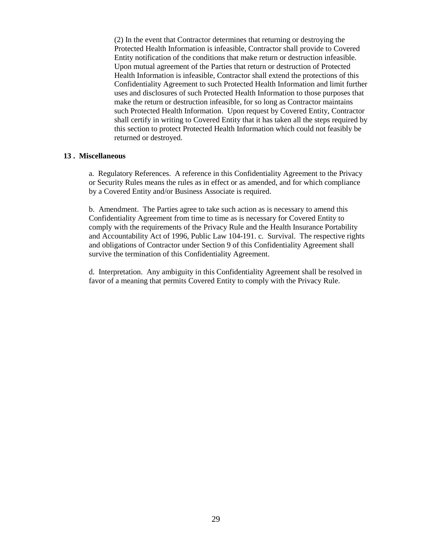(2) In the event that Contractor determines that returning or destroying the Protected Health Information is infeasible, Contractor shall provide to Covered Entity notification of the conditions that make return or destruction infeasible. Upon mutual agreement of the Parties that return or destruction of Protected Health Information is infeasible, Contractor shall extend the protections of this Confidentiality Agreement to such Protected Health Information and limit further uses and disclosures of such Protected Health Information to those purposes that make the return or destruction infeasible, for so long as Contractor maintains such Protected Health Information. Upon request by Covered Entity, Contractor shall certify in writing to Covered Entity that it has taken all the steps required by this section to protect Protected Health Information which could not feasibly be returned or destroyed.

### **13 . Miscellaneous**

a. Regulatory References. A reference in this Confidentiality Agreement to the Privacy or Security Rules means the rules as in effect or as amended, and for which compliance by a Covered Entity and/or Business Associate is required.

b. Amendment. The Parties agree to take such action as is necessary to amend this Confidentiality Agreement from time to time as is necessary for Covered Entity to comply with the requirements of the Privacy Rule and the Health Insurance Portability and Accountability Act of 1996, Public Law 104-191. c. Survival. The respective rights and obligations of Contractor under Section 9 of this Confidentiality Agreement shall survive the termination of this Confidentiality Agreement.

d. Interpretation. Any ambiguity in this Confidentiality Agreement shall be resolved in favor of a meaning that permits Covered Entity to comply with the Privacy Rule.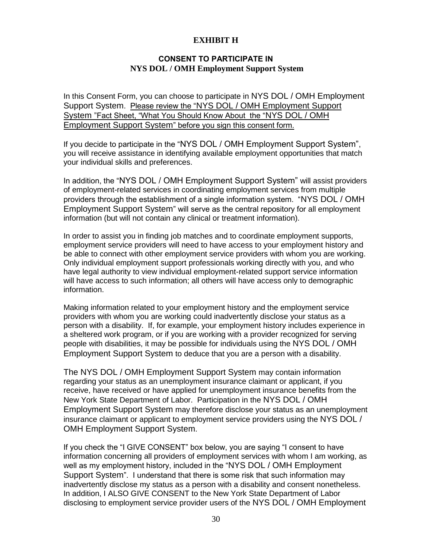## **EXHIBIT H**

## **CONSENT TO PARTICIPATE IN NYS DOL / OMH Employment Support System**

In this Consent Form, you can choose to participate in NYS DOL / OMH Employment Support System. Please review the "NYS DOL / OMH Employment Support System "Fact Sheet, "What You Should Know About the "NYS DOL / OMH Employment Support System" before you sign this consent form.

If you decide to participate in the "NYS DOL / OMH Employment Support System", you will receive assistance in identifying available employment opportunities that match your individual skills and preferences.

In addition, the "NYS DOL / OMH Employment Support System" will assist providers of employment-related services in coordinating employment services from multiple providers through the establishment of a single information system. "NYS DOL / OMH Employment Support System" will serve as the central repository for all employment information (but will not contain any clinical or treatment information).

In order to assist you in finding job matches and to coordinate employment supports, employment service providers will need to have access to your employment history and be able to connect with other employment service providers with whom you are working. Only individual employment support professionals working directly with you, and who have legal authority to view individual employment-related support service information will have access to such information; all others will have access only to demographic information.

Making information related to your employment history and the employment service providers with whom you are working could inadvertently disclose your status as a person with a disability. If, for example, your employment history includes experience in a sheltered work program, or if you are working with a provider recognized for serving people with disabilities, it may be possible for individuals using the NYS DOL / OMH Employment Support System to deduce that you are a person with a disability.

The NYS DOL / OMH Employment Support System may contain information regarding your status as an unemployment insurance claimant or applicant, if you receive, have received or have applied for unemployment insurance benefits from the New York State Department of Labor. Participation in the NYS DOL / OMH Employment Support System may therefore disclose your status as an unemployment insurance claimant or applicant to employment service providers using the NYS DOL / OMH Employment Support System.

If you check the "I GIVE CONSENT" box below, you are saying "I consent to have information concerning all providers of employment services with whom I am working, as well as my employment history, included in the "NYS DOL / OMH Employment Support System". I understand that there is some risk that such information may inadvertently disclose my status as a person with a disability and consent nonetheless. In addition, I ALSO GIVE CONSENT to the New York State Department of Labor disclosing to employment service provider users of the NYS DOL / OMH Employment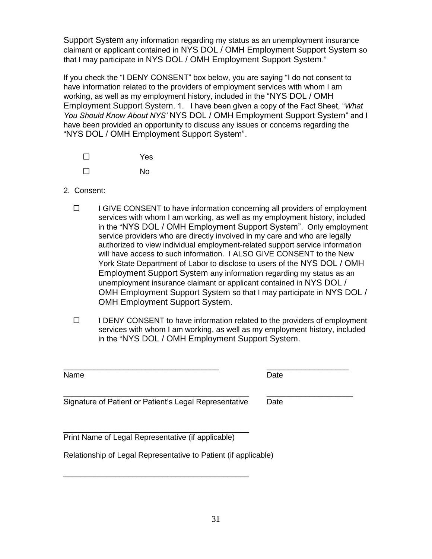Support System any information regarding my status as an unemployment insurance claimant or applicant contained in NYS DOL / OMH Employment Support System so that I may participate in NYS DOL / OMH Employment Support System."

If you check the "I DENY CONSENT" box below, you are saying "I do not consent to have information related to the providers of employment services with whom I am working, as well as my employment history, included in the "NYS DOL / OMH Employment Support System. 1. I have been given a copy of the Fact Sheet, "*What You Should Know About NYS'* NYS DOL / OMH Employment Support System" and I have been provided an opportunity to discuss any issues or concerns regarding the "NYS DOL / OMH Employment Support System".

| $\mathsf{L}$ | <b>Yes</b> |
|--------------|------------|
| $\mathsf{L}$ | No         |

- 2. Consent:
	- $\Box$  I GIVE CONSENT to have information concerning all providers of employment services with whom I am working, as well as my employment history, included in the "NYS DOL / OMH Employment Support System". Only employment service providers who are directly involved in my care and who are legally authorized to view individual employment-related support service information will have access to such information. I ALSO GIVE CONSENT to the New York State Department of Labor to disclose to users of the NYS DOL / OMH Employment Support System any information regarding my status as an unemployment insurance claimant or applicant contained in NYS DOL / OMH Employment Support System so that I may participate in NYS DOL / OMH Employment Support System.
	- $\Box$  I DENY CONSENT to have information related to the providers of employment services with whom I am working, as well as my employment history, included in the "NYS DOL / OMH Employment Support System.

Name Date **Date** 

| _________________ | _____________<br>___________ |
|-------------------|------------------------------|
| . .<br>----       |                              |

\_\_\_\_\_\_\_\_\_\_\_\_\_\_\_\_\_\_\_\_\_\_\_\_\_\_\_\_\_\_\_\_\_\_\_\_\_\_\_\_\_\_\_ \_\_\_\_\_\_\_\_\_\_\_\_\_\_\_\_\_\_\_\_ Signature of Patient or Patient's Legal Representative Date

\_\_\_\_\_\_\_\_\_\_\_\_\_\_\_\_\_\_\_\_\_\_\_\_\_\_\_\_\_\_\_\_\_\_\_\_\_\_\_\_\_\_\_ Print Name of Legal Representative (if applicable)

\_\_\_\_\_\_\_\_\_\_\_\_\_\_\_\_\_\_\_\_\_\_\_\_\_\_\_\_\_\_\_\_\_\_\_\_\_\_\_\_\_\_\_

Relationship of Legal Representative to Patient (if applicable)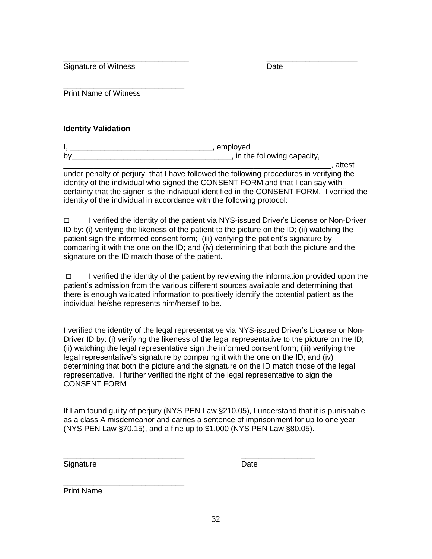\_\_\_\_\_\_\_\_\_\_\_\_\_\_\_\_\_\_\_\_\_\_\_\_\_\_\_\_\_ \_\_\_\_\_\_\_\_\_\_\_\_\_\_\_\_\_\_\_\_\_ Signature of Witness **Date** 

\_\_\_\_\_\_\_\_\_\_\_\_\_\_\_\_\_\_\_\_\_\_\_\_\_\_\_\_ Print Name of Witness

## **Identity Validation**

 $I,$ by by the following capacity,  $\blacksquare$ 

\_\_\_\_\_\_\_\_\_\_\_\_\_\_\_\_\_\_\_\_\_\_\_\_\_\_\_\_\_\_\_\_\_\_\_\_\_\_\_\_\_\_\_\_\_\_\_\_\_\_\_\_\_\_\_\_\_\_\_\_\_\_, attest under penalty of perjury, that I have followed the following procedures in verifying the identity of the individual who signed the CONSENT FORM and that I can say with certainty that the signer is the individual identified in the CONSENT FORM. I verified the identity of the individual in accordance with the following protocol:

□ I verified the identity of the patient via NYS-issued Driver's License or Non-Driver ID by: (i) verifying the likeness of the patient to the picture on the ID; (ii) watching the patient sign the informed consent form; (iii) verifying the patient's signature by comparing it with the one on the ID; and (iv) determining that both the picture and the signature on the ID match those of the patient.

 $\Box$  I verified the identity of the patient by reviewing the information provided upon the patient's admission from the various different sources available and determining that there is enough validated information to positively identify the potential patient as the individual he/she represents him/herself to be.

I verified the identity of the legal representative via NYS-issued Driver's License or Non-Driver ID by: (i) verifying the likeness of the legal representative to the picture on the ID; (ii) watching the legal representative sign the informed consent form; (iii) verifying the legal representative's signature by comparing it with the one on the ID; and (iv) determining that both the picture and the signature on the ID match those of the legal representative. I further verified the right of the legal representative to sign the CONSENT FORM

If I am found guilty of perjury (NYS PEN Law §210.05), I understand that it is punishable as a class A misdemeanor and carries a sentence of imprisonment for up to one year (NYS PEN Law §70.15), and a fine up to \$1,000 (NYS PEN Law §80.05).

Signature Date Date

\_\_\_\_\_\_\_\_\_\_\_\_\_\_\_\_\_\_\_\_\_\_\_\_\_\_\_\_ \_\_\_\_\_\_\_\_\_\_\_\_\_\_\_\_\_

\_\_\_\_\_\_\_\_\_\_\_\_\_\_\_\_\_\_\_\_\_\_\_\_\_\_\_\_ Print Name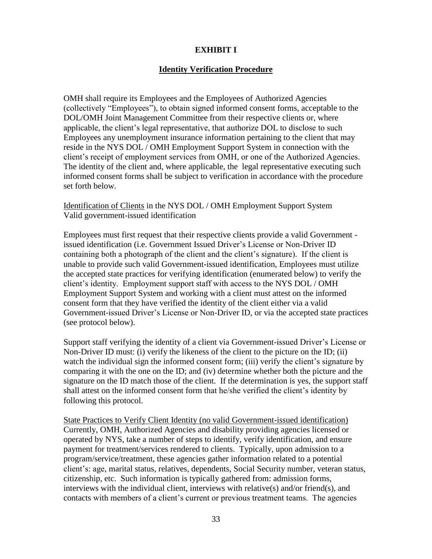# **EXHIBIT I**

## **Identity Verification Procedure**

OMH shall require its Employees and the Employees of Authorized Agencies (collectively "Employees"), to obtain signed informed consent forms, acceptable to the DOL/OMH Joint Management Committee from their respective clients or, where applicable, the client's legal representative, that authorize DOL to disclose to such Employees any unemployment insurance information pertaining to the client that may reside in the NYS DOL / OMH Employment Support System in connection with the client's receipt of employment services from OMH, or one of the Authorized Agencies. The identity of the client and, where applicable, the legal representative executing such informed consent forms shall be subject to verification in accordance with the procedure set forth below.

Identification of Clients in the NYS DOL / OMH Employment Support System Valid government-issued identification

Employees must first request that their respective clients provide a valid Government issued identification (i.e. Government Issued Driver's License or Non-Driver ID containing both a photograph of the client and the client's signature). If the client is unable to provide such valid Government-issued identification, Employees must utilize the accepted state practices for verifying identification (enumerated below) to verify the client's identity. Employment support staff with access to the NYS DOL / OMH Employment Support System and working with a client must attest on the informed consent form that they have verified the identity of the client either via a valid Government-issued Driver's License or Non-Driver ID, or via the accepted state practices (see protocol below).

Support staff verifying the identity of a client via Government-issued Driver's License or Non-Driver ID must: (i) verify the likeness of the client to the picture on the ID; (ii) watch the individual sign the informed consent form; (iii) verify the client's signature by comparing it with the one on the ID; and (iv) determine whether both the picture and the signature on the ID match those of the client. If the determination is yes, the support staff shall attest on the informed consent form that he/she verified the client's identity by following this protocol.

State Practices to Verify Client Identity (no valid Government-issued identification) Currently, OMH, Authorized Agencies and disability providing agencies licensed or operated by NYS, take a number of steps to identify, verify identification, and ensure payment for treatment/services rendered to clients. Typically, upon admission to a program/service/treatment, these agencies gather information related to a potential client's: age, marital status, relatives, dependents, Social Security number, veteran status, citizenship, etc. Such information is typically gathered from: admission forms, interviews with the individual client, interviews with relative(s) and/or friend(s), and contacts with members of a client's current or previous treatment teams. The agencies